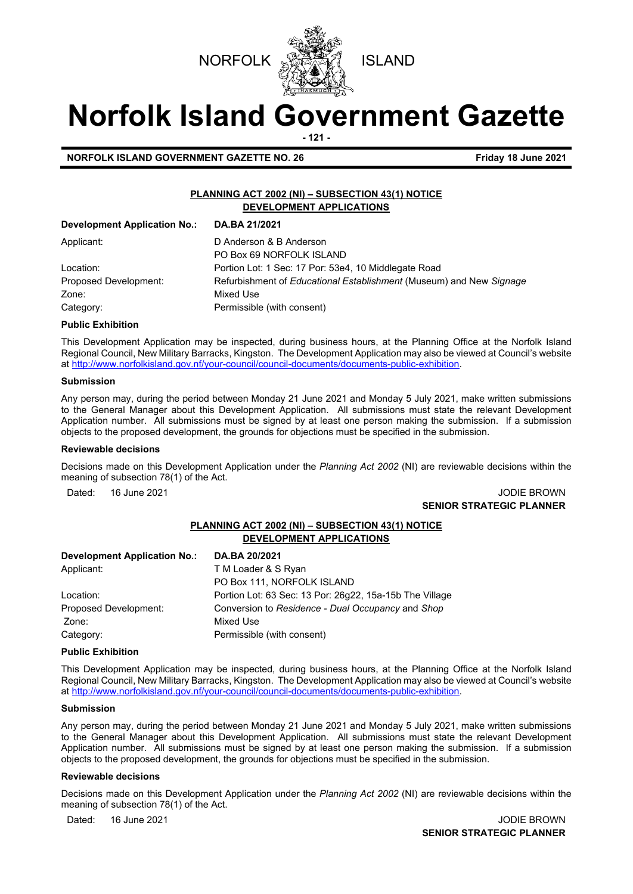



# **Norfolk Island Government Gazette**

**- 121 -**

**NORFOLK ISLAND GOVERNMENT GAZETTE NO. 26** Friday 18 June 2021

### **PLANNING ACT 2002 (NI) – SUBSECTION 43(1) NOTICE DEVELOPMENT APPLICATIONS**

| Development Application No.: | DA.BA 21/2021                                                       |
|------------------------------|---------------------------------------------------------------------|
| Applicant:                   | D Anderson & B Anderson                                             |
|                              | PO Box 69 NORFOLK ISLAND                                            |
| Location:                    | Portion Lot: 1 Sec: 17 Por: 53e4, 10 Middlegate Road                |
| Proposed Development:        | Refurbishment of Educational Establishment (Museum) and New Signage |
| Zone:                        | Mixed Use                                                           |
| Category:                    | Permissible (with consent)                                          |

### **Public Exhibition**

This Development Application may be inspected, during business hours, at the Planning Office at the Norfolk Island Regional Council, New Military Barracks, Kingston. The Development Application may also be viewed at Council's website a[t http://www.norfolkisland.gov.nf/your-council/council-documents/documents-public-exhibition.](http://www.norfolkisland.gov.nf/your-council/council-documents/documents-public-exhibition) 

### **Submission**

Any person may, during the period between Monday 21 June 2021 and Monday 5 July 2021, make written submissions to the General Manager about this Development Application. All submissions must state the relevant Development Application number. All submissions must be signed by at least one person making the submission. If a submission objects to the proposed development, the grounds for objections must be specified in the submission.

### **Reviewable decisions**

Decisions made on this Development Application under the *Planning Act 2002* (NI) are reviewable decisions within the meaning of subsection 78(1) of the Act.

Dated: 16 June 2021 **Dates 2008** JODIE BROWN **SENIOR STRATEGIC PLANNER** 

### **PLANNING ACT 2002 (NI) – SUBSECTION 43(1) NOTICE DEVELOPMENT APPLICATIONS**

| <b>Development Application No.:</b> | DA.BA 20/2021                                           |
|-------------------------------------|---------------------------------------------------------|
| Applicant:                          | T M Loader & S Ryan                                     |
|                                     | PO Box 111, NORFOLK ISLAND                              |
| Location:                           | Portion Lot: 63 Sec: 13 Por: 26g22, 15a-15b The Village |
| Proposed Development:               | Conversion to Residence - Dual Occupancy and Shop       |
| Zone:                               | Mixed Use                                               |
| Category:                           | Permissible (with consent)                              |

### **Public Exhibition**

This Development Application may be inspected, during business hours, at the Planning Office at the Norfolk Island Regional Council, New Military Barracks, Kingston. The Development Application may also be viewed at Council's website a[t http://www.norfolkisland.gov.nf/your-council/council-documents/documents-public-exhibition.](http://www.norfolkisland.gov.nf/your-council/council-documents/documents-public-exhibition) 

### **Submission**

Any person may, during the period between Monday 21 June 2021 and Monday 5 July 2021, make written submissions to the General Manager about this Development Application. All submissions must state the relevant Development Application number. All submissions must be signed by at least one person making the submission. If a submission objects to the proposed development, the grounds for objections must be specified in the submission.

### **Reviewable decisions**

Decisions made on this Development Application under the *Planning Act 2002* (NI) are reviewable decisions within the meaning of subsection 78(1) of the Act.

Dated: 16 June 2021 **Dated: 16 June 2021** 

**SENIOR STRATEGIC PLANNER**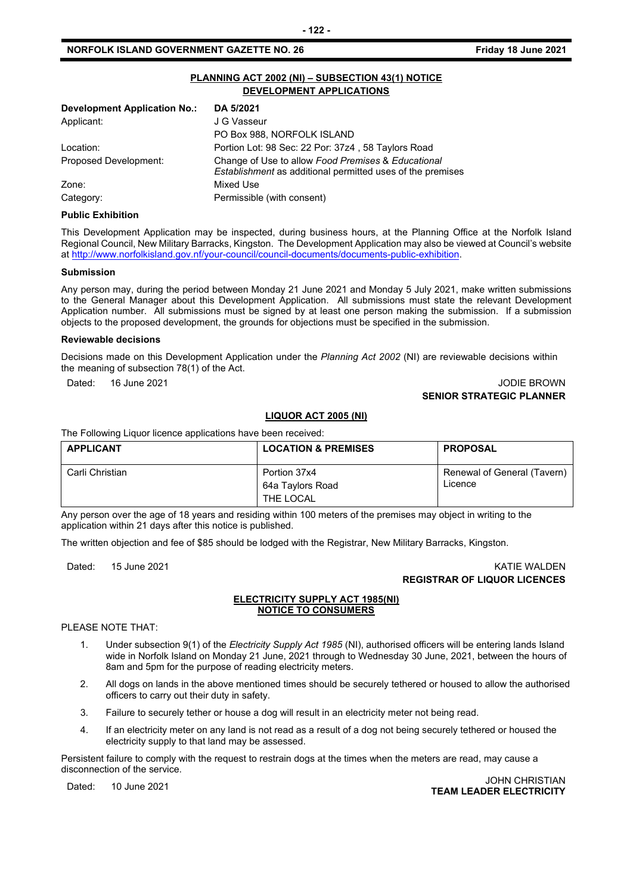### **PLANNING ACT 2002 (NI) – SUBSECTION 43(1) NOTICE DEVELOPMENT APPLICATIONS**

| Portion Lot: 98 Sec: 22 Por: 37z4, 58 Taylors Road                                                                      |
|-------------------------------------------------------------------------------------------------------------------------|
| Change of Use to allow Food Premises & Educational<br><i>Establishment</i> as additional permitted uses of the premises |
|                                                                                                                         |
|                                                                                                                         |
|                                                                                                                         |

### **Public Exhibition**

This Development Application may be inspected, during business hours, at the Planning Office at the Norfolk Island Regional Council, New Military Barracks, Kingston. The Development Application may also be viewed at Council's website a[t http://www.norfolkisland.gov.nf/your-council/council-documents/documents-public-exhibition.](http://www.norfolkisland.gov.nf/your-council/council-documents/documents-public-exhibition) 

### **Submission**

Any person may, during the period between Monday 21 June 2021 and Monday 5 July 2021, make written submissions to the General Manager about this Development Application. All submissions must state the relevant Development Application number. All submissions must be signed by at least one person making the submission. If a submission objects to the proposed development, the grounds for objections must be specified in the submission.

### **Reviewable decisions**

Decisions made on this Development Application under the *Planning Act 2002* (NI) are reviewable decisions within the meaning of subsection 78(1) of the Act.

### Dated: 16 June 2021 JODIE BROWN **SENIOR STRATEGIC PLANNER**

### **LIQUOR ACT 2005 (NI)**

The Following Liquor licence applications have been received:

| <b>APPLICANT</b> | <b>LOCATION &amp; PREMISES</b>                | <b>PROPOSAL</b>                        |
|------------------|-----------------------------------------------|----------------------------------------|
| Carli Christian  | Portion 37x4<br>64a Taylors Road<br>THE LOCAL | Renewal of General (Tavern)<br>Licence |

Any person over the age of 18 years and residing within 100 meters of the premises may object in writing to the application within 21 days after this notice is published.

The written objection and fee of \$85 should be lodged with the Registrar, New Military Barracks, Kingston.

### Dated: 15 June 2021 KATIE WALDEN **REGISTRAR OF LIQUOR LICENCES**

### **ELECTRICITY SUPPLY ACT 1985(NI) NOTICE TO CONSUMERS**

PLEASE NOTE THAT:

- 1. Under subsection 9(1) of the *Electricity Supply Act 1985* (NI), authorised officers will be entering lands Island wide in Norfolk Island on Monday 21 June, 2021 through to Wednesday 30 June, 2021, between the hours of 8am and 5pm for the purpose of reading electricity meters.
- 2. All dogs on lands in the above mentioned times should be securely tethered or housed to allow the authorised officers to carry out their duty in safety.
- 3. Failure to securely tether or house a dog will result in an electricity meter not being read.
- 4. If an electricity meter on any land is not read as a result of a dog not being securely tethered or housed the electricity supply to that land may be assessed.

Persistent failure to comply with the request to restrain dogs at the times when the meters are read, may cause a disconnection of the service.

Dated: 10 June 2021 JOHN CHRISTIAN **TEAM LEADER ELECTRICITY**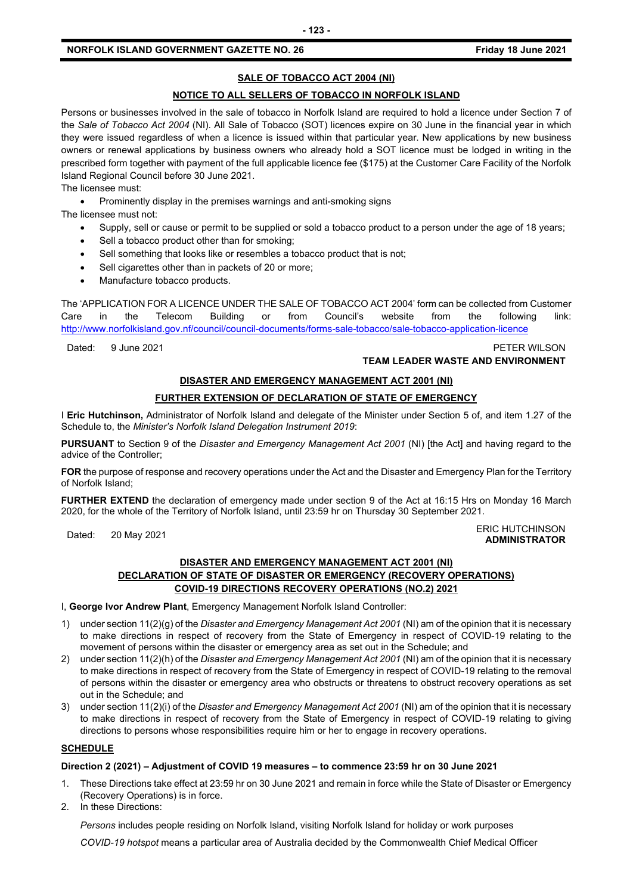### **NORFOLK ISLAND GOVERNMENT GAZETTE NO. 26 FRIDAY 18 JUNE 2021 Friday 18 June 2021**

### **SALE OF TOBACCO ACT 2004 (NI)**

### **NOTICE TO ALL SELLERS OF TOBACCO IN NORFOLK ISLAND**

Persons or businesses involved in the sale of tobacco in Norfolk Island are required to hold a licence under Section 7 of the *Sale of Tobacco Act 2004* (NI). All Sale of Tobacco (SOT) licences expire on 30 June in the financial year in which they were issued regardless of when a licence is issued within that particular year. New applications by new business owners or renewal applications by business owners who already hold a SOT licence must be lodged in writing in the prescribed form together with payment of the full applicable licence fee (\$175) at the Customer Care Facility of the Norfolk Island Regional Council before 30 June 2021.

The licensee must:

• Prominently display in the premises warnings and anti-smoking signs The licensee must not:

- Supply, sell or cause or permit to be supplied or sold a tobacco product to a person under the age of 18 years;
- Sell a tobacco product other than for smoking;
- Sell something that looks like or resembles a tobacco product that is not;
- Sell cigarettes other than in packets of 20 or more;
- Manufacture tobacco products.

The 'APPLICATION FOR A LICENCE UNDER THE SALE OF TOBACCO ACT 2004' form can be collected from Customer Care in the Telecom Building or from Council's website from the following link: <http://www.norfolkisland.gov.nf/council/council-documents/forms-sale-tobacco/sale-tobacco-application-licence>

Dated: 9 June 2021 PETER WILSON

### **TEAM LEADER WASTE AND ENVIRONMENT**

### **DISASTER AND EMERGENCY MANAGEMENT ACT 2001 (NI)**

### **FURTHER EXTENSION OF DECLARATION OF STATE OF EMERGENCY**

I **Eric Hutchinson,** Administrator of Norfolk Island and delegate of the Minister under Section 5 of, and item 1.27 of the Schedule to, the *Minister's Norfolk Island Delegation Instrument 2019*:

**PURSUANT** to Section 9 of the *Disaster and Emergency Management Act 2001* (NI) [the Act] and having regard to the advice of the Controller;

**FOR** the purpose of response and recovery operations under the Act and the Disaster and Emergency Plan for the Territory of Norfolk Island;

**FURTHER EXTEND** the declaration of emergency made under section 9 of the Act at 16:15 Hrs on Monday 16 March 2020, for the whole of the Territory of Norfolk Island, until 23:59 hr on Thursday 30 September 2021.

### Dated: 20 May 2021<br>Dated: 20 May 2021 **ADMINISTRATOR**

### **DISASTER AND EMERGENCY MANAGEMENT ACT 2001 (NI) DECLARATION OF STATE OF DISASTER OR EMERGENCY (RECOVERY OPERATIONS) COVID-19 DIRECTIONS RECOVERY OPERATIONS (NO.2) 2021**

I, **George Ivor Andrew Plant**, Emergency Management Norfolk Island Controller:

- 1) under section 11(2)(g) of the *Disaster and Emergency Management Act 2001* (NI) am of the opinion that it is necessary to make directions in respect of recovery from the State of Emergency in respect of COVID-19 relating to the movement of persons within the disaster or emergency area as set out in the Schedule; and
- 2) under section 11(2)(h) of the *Disaster and Emergency Management Act 2001* (NI) am of the opinion that it is necessary to make directions in respect of recovery from the State of Emergency in respect of COVID-19 relating to the removal of persons within the disaster or emergency area who obstructs or threatens to obstruct recovery operations as set out in the Schedule; and
- 3) under section 11(2)(i) of the *Disaster and Emergency Management Act 2001* (NI) am of the opinion that it is necessary to make directions in respect of recovery from the State of Emergency in respect of COVID-19 relating to giving directions to persons whose responsibilities require him or her to engage in recovery operations.

### **SCHEDULE**

### **Direction 2 (2021) – Adjustment of COVID 19 measures – to commence 23:59 hr on 30 June 2021**

- 1. These Directions take effect at 23:59 hr on 30 June 2021 and remain in force while the State of Disaster or Emergency (Recovery Operations) is in force.
- 2. In these Directions:

*Persons* includes people residing on Norfolk Island, visiting Norfolk Island for holiday or work purposes

*COVID-19 hotspot* means a particular area of Australia decided by the Commonwealth Chief Medical Officer